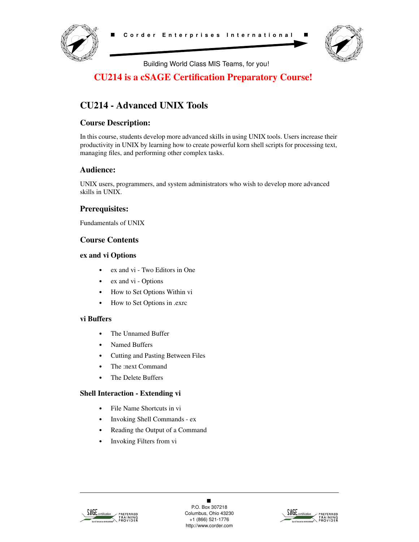



Building World Class MIS Teams, for you!

# **CU214 is a cSAGE Certification Preparatory Course!**

# **CU214 - Advanced UNIX Tools**

# **Course Description:**

In this course, students develop more advanced skills in using UNIX tools. Users increase their productivity in UNIX by learning how to create powerful korn shell scripts for processing text, managing files, and performing other complex tasks.

## **Audience:**

UNIX users, programmers, and system administrators who wish to develop more advanced skills in UNIX.

# **Prerequisites:**

Fundamentals of UNIX

# **Course Contents**

#### **ex and vi Options**

- **•** ex and vi Two Editors in One
- **•** ex and vi Options
- **•** How to Set Options Within vi
- **•** How to Set Options in .exrc

### **vi Buffers**

- **•** The Unnamed Buffer
- **•** Named Buffers
- **•** Cutting and Pasting Between Files
- **•** The :next Command
- **•** The Delete Buffers

### **Shell Interaction - Extending vi**

- **•** File Name Shortcuts in vi
- **•** Invoking Shell Commands ex
- **•** Reading the Output of a Command
- **•** Invoking Filters from vi



 $\blacksquare$ P.O. Box 307218 Columbus, Ohio 43230 +1 (866) 521-1776 http://www.corder.com

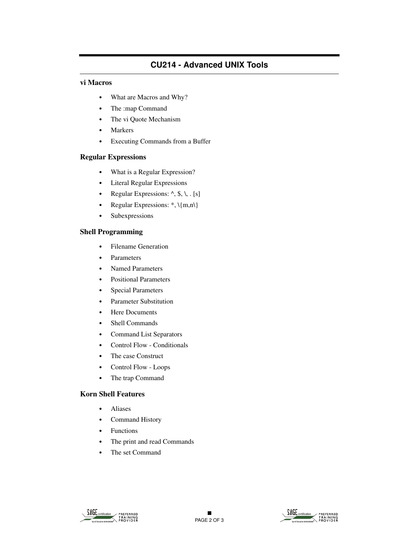# **CU214 - Advanced UNIX Tools**

#### **vi Macros**

- **•** What are Macros and Why?
- **•** The :map Command
- **•** The vi Quote Mechanism
- **•** Markers
- **•** Executing Commands from a Buffer

#### **Regular Expressions**

- **•** What is a Regular Expression?
- **•** Literal Regular Expressions
- Regular Expressions:  $\land$ , \$, \, . [s]
- Regular Expressions: \*,  $\{m,n\}$
- **•** Subexpressions

### **Shell Programming**

- **•** Filename Generation
- **•** Parameters
- **•** Named Parameters
- **•** Positional Parameters
- **•** Special Parameters
- **•** Parameter Substitution
- **•** Here Documents
- **•** Shell Commands
- **•** Command List Separators
- **•** Control Flow Conditionals
- **•** The case Construct
- **•** Control Flow Loops
- **•** The trap Command

#### **Korn Shell Features**

- **•** Aliases
- **•** Command History
- **•** Functions
- **•** The print and read Commands
- **•** The set Command